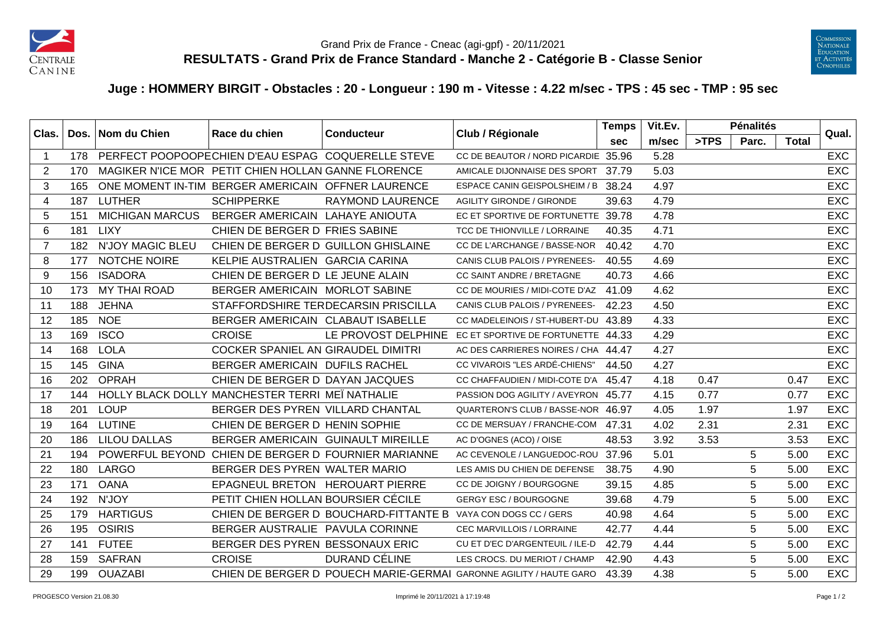



## **Juge : HOMMERY BIRGIT - Obstacles : 20 - Longueur : 190 m - Vitesse : 4.22 m/sec - TPS : 45 sec - TMP : 95 sec**

| Clas.          |     | Dos. Nom du Chien       | Race du chien                                       | <b>Conducteur</b>                                             | Club / Régionale                                                   | <b>Temps</b> | Vit.Ev. |      | <b>Pénalités</b> |              | Qual.      |
|----------------|-----|-------------------------|-----------------------------------------------------|---------------------------------------------------------------|--------------------------------------------------------------------|--------------|---------|------|------------------|--------------|------------|
|                |     |                         |                                                     |                                                               |                                                                    | <b>sec</b>   | m/sec   | >TPS | Parc.            | <b>Total</b> |            |
| $\overline{1}$ | 178 |                         |                                                     | PERFECT POOPOOPECHIEN D'EAU ESPAG COQUERELLE STEVE            | CC DE BEAUTOR / NORD PICARDIE 35.96                                |              | 5.28    |      |                  |              | <b>EXC</b> |
| 2              | 170 |                         | MAGIKER N'ICE MOR PETIT CHIEN HOLLAN GANNE FLORENCE |                                                               | AMICALE DIJONNAISE DES SPORT 37.79                                 |              | 5.03    |      |                  |              | <b>EXC</b> |
| 3              | 165 |                         | ONE MOMENT IN-TIM BERGER AMERICAIN OFFNER LAURENCE  |                                                               | ESPACE CANIN GEISPOLSHEIM / B                                      | 38.24        | 4.97    |      |                  |              | <b>EXC</b> |
| $\overline{4}$ | 187 | <b>LUTHER</b>           | <b>SCHIPPERKE</b>                                   | <b>RAYMOND LAURENCE</b>                                       | <b>AGILITY GIRONDE / GIRONDE</b>                                   | 39.63        | 4.79    |      |                  |              | <b>EXC</b> |
| 5              | 151 | <b>MICHIGAN MARCUS</b>  | BERGER AMERICAIN LAHAYE ANIOUTA                     |                                                               | EC ET SPORTIVE DE FORTUNETTE 39.78                                 |              | 4.78    |      |                  |              | <b>EXC</b> |
| 6              | 181 | <b>LIXY</b>             | CHIEN DE BERGER D FRIES SABINE                      |                                                               | TCC DE THIONVILLE / LORRAINE                                       | 40.35        | 4.71    |      |                  |              | <b>EXC</b> |
| $\overline{7}$ | 182 | <b>N'JOY MAGIC BLEU</b> | CHIEN DE BERGER D GUILLON GHISLAINE                 |                                                               | CC DE L'ARCHANGE / BASSE-NOR                                       | 40.42        | 4.70    |      |                  |              | <b>EXC</b> |
| 8              | 177 | NOTCHE NOIRE            | KELPIE AUSTRALIEN GARCIA CARINA                     |                                                               | CANIS CLUB PALOIS / PYRENEES-                                      | 40.55        | 4.69    |      |                  |              | <b>EXC</b> |
| 9              | 156 | <b>ISADORA</b>          | CHIEN DE BERGER D LE JEUNE ALAIN                    |                                                               | CC SAINT ANDRE / BRETAGNE                                          | 40.73        | 4.66    |      |                  |              | <b>EXC</b> |
| 10             | 173 | MY THAI ROAD            | BERGER AMERICAIN MORLOT SABINE                      |                                                               | CC DE MOURIES / MIDI-COTE D'AZ 41.09                               |              | 4.62    |      |                  |              | <b>EXC</b> |
| 11             | 188 | <b>JEHNA</b>            |                                                     | STAFFORDSHIRE TERDECARSIN PRISCILLA                           | CANIS CLUB PALOIS / PYRENEES-                                      | 42.23        | 4.50    |      |                  |              | <b>EXC</b> |
| 12             | 185 | <b>NOE</b>              | BERGER AMERICAIN CLABAUT ISABELLE                   |                                                               | CC MADELEINOIS / ST-HUBERT-DU 43.89                                |              | 4.33    |      |                  |              | EXC        |
| 13             | 169 | <b>ISCO</b>             | <b>CROISE</b>                                       | LE PROVOST DELPHINE                                           | EC ET SPORTIVE DE FORTUNETTE 44.33                                 |              | 4.29    |      |                  |              | <b>EXC</b> |
| 14             | 168 | <b>LOLA</b>             | COCKER SPANIEL AN GIRAUDEL DIMITRI                  |                                                               | AC DES CARRIERES NOIRES / CHA 44.47                                |              | 4.27    |      |                  |              | <b>EXC</b> |
| 15             | 145 | <b>GINA</b>             | BERGER AMERICAIN DUFILS RACHEL                      |                                                               | CC VIVAROIS "LES ARDÉ-CHIENS"                                      | 44.50        | 4.27    |      |                  |              | <b>EXC</b> |
| 16             | 202 | <b>OPRAH</b>            | CHIEN DE BERGER D DAYAN JACQUES                     |                                                               | CC CHAFFAUDIEN / MIDI-COTE D'A 45.47                               |              | 4.18    | 0.47 |                  | 0.47         | <b>EXC</b> |
| 17             | 144 |                         | HOLLY BLACK DOLLY MANCHESTER TERRI MEÏ NATHALIE     |                                                               | PASSION DOG AGILITY / AVEYRON 45.77                                |              | 4.15    | 0.77 |                  | 0.77         | <b>EXC</b> |
| 18             | 201 | <b>LOUP</b>             | BERGER DES PYREN VILLARD CHANTAL                    |                                                               | QUARTERON'S CLUB / BASSE-NOR                                       | 46.97        | 4.05    | 1.97 |                  | 1.97         | <b>EXC</b> |
| 19             | 164 | <b>LUTINE</b>           | CHIEN DE BERGER D HENIN SOPHIE                      |                                                               | CC DE MERSUAY / FRANCHE-COM 47.31                                  |              | 4.02    | 2.31 |                  | 2.31         | <b>EXC</b> |
| 20             | 186 | <b>LILOU DALLAS</b>     | BERGER AMERICAIN GUINAULT MIREILLE                  |                                                               | AC D'OGNES (ACO) / OISE                                            | 48.53        | 3.92    | 3.53 |                  | 3.53         | EXC        |
| 21             | 194 |                         |                                                     | POWERFUL BEYOND CHIEN DE BERGER D FOURNIER MARIANNE           | AC CEVENOLE / LANGUEDOC-ROU                                        | 37.96        | 5.01    |      | 5                | 5.00         | <b>EXC</b> |
| 22             | 180 | LARGO                   | BERGER DES PYREN WALTER MARIO                       |                                                               | LES AMIS DU CHIEN DE DEFENSE                                       | 38.75        | 4.90    |      | 5                | 5.00         | <b>EXC</b> |
| 23             | 171 | <b>OANA</b>             | EPAGNEUL BRETON HEROUART PIERRE                     |                                                               | CC DE JOIGNY / BOURGOGNE                                           | 39.15        | 4.85    |      | 5                | 5.00         | <b>EXC</b> |
| 24             | 192 | N'JOY                   | PETIT CHIEN HOLLAN BOURSIER CÉCILE                  |                                                               | <b>GERGY ESC / BOURGOGNE</b>                                       | 39.68        | 4.79    |      | 5                | 5.00         | <b>EXC</b> |
| 25             | 179 | <b>HARTIGUS</b>         |                                                     | CHIEN DE BERGER D BOUCHARD-FITTANTE B VAYA CON DOGS CC / GERS |                                                                    | 40.98        | 4.64    |      | 5                | 5.00         | <b>EXC</b> |
| 26             | 195 | <b>OSIRIS</b>           | BERGER AUSTRALIE PAVULA CORINNE                     |                                                               | <b>CEC MARVILLOIS / LORRAINE</b>                                   | 42.77        | 4.44    |      | 5                | 5.00         | <b>EXC</b> |
| 27             |     | 141 FUTEE               | BERGER DES PYREN BESSONAUX ERIC                     |                                                               | CU ET D'EC D'ARGENTEUIL / ILE-D                                    | 42.79        | 4.44    |      | 5                | 5.00         | EXC        |
| 28             | 159 | <b>SAFRAN</b>           | <b>CROISE</b>                                       | DURAND CÉLINE                                                 | LES CROCS. DU MERIOT / CHAMP                                       | 42.90        | 4.43    |      | 5                | 5.00         | <b>EXC</b> |
| 29             | 199 | <b>OUAZABI</b>          |                                                     |                                                               | CHIEN DE BERGER D POUECH MARIE-GERMAI GARONNE AGILITY / HAUTE GARO | 43.39        | 4.38    |      | 5                | 5.00         | <b>EXC</b> |